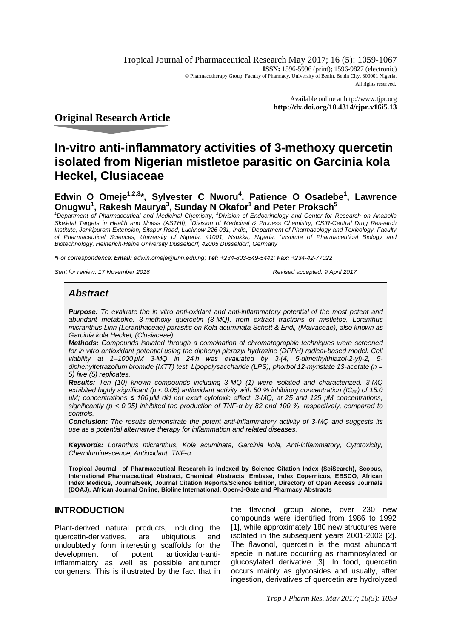Tropical Journal of Pharmaceutical Research May 2017; 16 (5): 1059-1067 **ISSN:** 1596-5996 (print): 1596-9827 (electronic) © Pharmacotherapy Group, Faculty of Pharmacy, University of Benin, Benin City, 300001 Nigeria. All rights reserved.

> Available online at <http://www.tjpr.org> **<http://dx.doi.org/10.4314/tjpr.v16i5.13>**

# **Original Research Article**

# **In***-***vitro anti-inflammatory activities of 3-methoxy quercetin isolated from Nigerian mistletoe parasitic on Garcinia kola Heckel, Clusiaceae**

# **Edwin O Omeje1,2,3\*, Sylvester C Nworu<sup>4</sup> , Patience O Osadebe<sup>1</sup> , Lawrence Onugwu<sup>1</sup> , Rakesh Maurya<sup>3</sup> , Sunday N Okafor<sup>1</sup> and Peter Proksch<sup>5</sup>**

*<sup>1</sup>Department of Pharmaceutical and Medicinal Chemistry, <sup>2</sup>Division of Endocrinology and Center for Research on Anabolic Skeletal Targets in Health and Illness (ASTHI), <sup>3</sup>Division of Medicinal & Process Chemistry, CSIR-Central Drug Research*  Institute, Jankipuram Extension, Sitapur Road, Lucknow 226 031, India, <sup>4</sup>Department of Pharmacology and Toxicology, Faculty *of Pharmaceutical Sciences, University of Nigeria, 41001, Nsukka, Nigeria, 5 Institute of Pharmaceutical Biology and Biotechnology, Heinerich-Heine University Dusseldorf, 42005 Dusseldorf, Germany*

*\*For correspondence: Email: [edwin.omeje@unn.edu.ng;](mailto:edwin.omeje@unn.edu.ng;) Tel: +234-803-549-5441; Fax: +234-42-77022*

*Sent for review: 17 November 2016 Revised accepted: 9 April 2017*

# *Abstract*

*Purpose: To evaluate the in vitro anti-oxidant and anti-inflammatory potential of the most potent and abundant metabolite, 3-methoxy quercetin (3-MQ), from extract fractions of mistletoe, Loranthus micranthus Linn (Loranthaceae) parasitic on Kola acuminata Schott & Endl, (Malvaceae), also known as Garcinia kola Heckel, (Clusiaceae).*

*Methods: Compounds isolated through a combination of chromatographic techniques were screened for in vitro antioxidant potential using the diphenyl picrazyl hydrazine (DPPH) radical-based model. Cell viability at 1–1000 μM 3-MQ in 24 h was evaluated by 3-(4, 5-dimethylthiazol-2-yl)-2, 5 diphenyltetrazolium bromide (MTT) test. Lipopolysaccharide (LPS), phorbol 12-myristate 13-acetate (n = 5) five (5) replicates.*

*Results: Ten (10) known compounds including 3-MQ (1) were isolated and characterized. 3-MQ exhibited highly significant (p < 0.05) antioxidant activity with 50 % inhibitory concentration (IC50) of 15.0 µM; concentrations ≤ 100 μM did not exert cytotoxic effect. 3-MQ, at 25 and 125 µM concentrations, significantly (p < 0.05) inhibited the production of TNF-α by 82 and 100 %, respectively, compared to controls.*

*Conclusion: The results demonstrate the potent anti-inflammatory activity of 3-MQ and suggests its use as a potential alternative therapy for inflammation and related diseases.*

*Keywords: Loranthus micranthus, Kola acuminata, Garcinia kola, Anti-inflammatory, Cytotoxicity, Chemiluminescence, Antioxidant, TNF-α*

**Tropical Journal of Pharmaceutical Research is indexed by Science Citation Index (SciSearch), Scopus, International Pharmaceutical Abstract, Chemical Abstracts, Embase, Index Copernicus, EBSCO, African Index Medicus, JournalSeek, Journal Citation Reports/Science Edition, Directory of Open Access Journals (DOAJ), African Journal Online, Bioline International, Open-J-Gate and Pharmacy Abstracts**

# **INTRODUCTION**

Plant-derived natural products, including the quercetin-derivatives, are ubiquitous and undoubtedly form interesting scaffolds for the<br>development of potent antioxidant-antidevelopment of potent antioxidant-antiinflammatory as well as possible antitumor congeners. This is illustrated by the fact that in the flavonol group alone, over 230 new compounds were identified from 1986 to 1992 [1], while approximately 180 new structures were isolated in the subsequent years 2001-2003 [2]. The flavonol, quercetin is the most abundant specie in nature occurring as rhamnosylated or glucosylated derivative [3]. In food, quercetin occurs mainly as glycosides and usually, after ingestion, derivatives of quercetin are hydrolyzed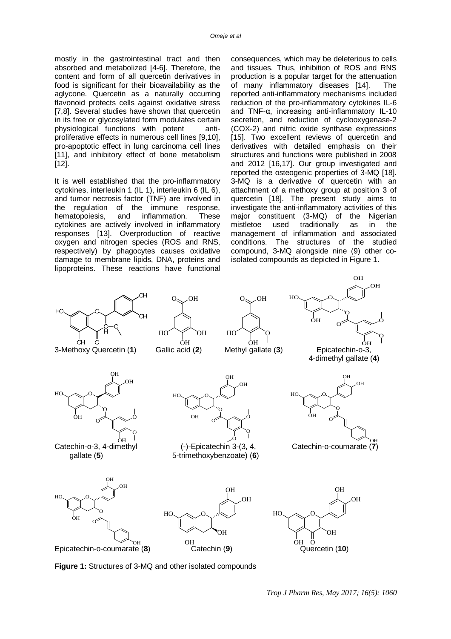mostly in the gastrointestinal tract and then absorbed and metabolized [4-6]. Therefore, the content and form of all quercetin derivatives in food is significant for their bioavailability as the aglycone. Quercetin as a naturally occurring flavonoid protects cells against oxidative stress [7,8]. Several studies have shown that quercetin in its free or glycosylated form modulates certain physiological functions with potent antiproliferative effects in numerous cell lines [9,10], pro-apoptotic effect in lung carcinoma cell lines [11], and inhibitory effect of bone metabolism [12].

It is well established that the pro-inflammatory cytokines, interleukin 1 (IL 1), interleukin 6 (IL 6), and tumor necrosis factor (TNF) are involved in the regulation of the immune response, hematopoiesis, and inflammation. These cytokines are actively involved in inflammatory responses [13]. Overproduction of reactive oxygen and nitrogen species (ROS and RNS, respectively) by phagocytes causes oxidative damage to membrane lipids, DNA, proteins and lipoproteins. These reactions have functional

consequences, which may be deleterious to cells and tissues. Thus, inhibition of ROS and RNS production is a popular target for the attenuation of many inflammatory diseases [14]. The reported anti-inflammatory mechanisms included reduction of the pro-inflammatory cytokines IL-6 and TNF-α, increasing anti-inflammatory IL-10 secretion, and reduction of cyclooxygenase-2 (COX-2) and nitric oxide synthase expressions [15]. Two excellent reviews of quercetin and derivatives with detailed emphasis on their structures and functions were published in 2008 and 2012 [16,17]. Our group investigated and reported the osteogenic properties of 3-MQ [18]. 3-MQ is a derivative of quercetin with an attachment of a methoxy group at position 3 of quercetin [18]. The present study aims to investigate the anti-inflammatory activities of this major constituent (3-MQ) of the Nigerian mistletoe used traditionally as in the management of inflammation and associated conditions. The structures of the studied compound, 3-MQ alongside nine (9) other coisolated compounds as depicted in Figure 1.



**Figure 1:** Structures of 3-MQ and other isolated compounds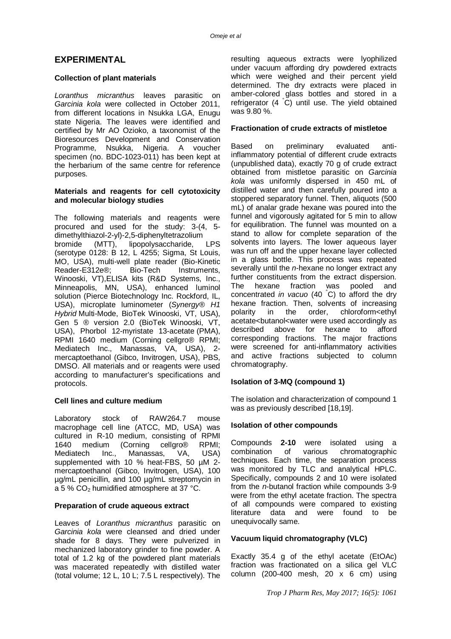# **EXPERIMENTAL**

# **Collection of plant materials**

*Loranthus micranthus* leaves parasitic on *Garcinia kola* were collected in October 2011, from different locations in Nsukka LGA, Enugu state Nigeria. The leaves were identified and certified by Mr AO Ozioko, a taxonomist of the Bioresources Development and Conservation Programme, Nsukka, Nigeria. A voucher specimen (no. BDC-1023-011) has been kept at the herbarium of the same centre for reference purposes.

#### **Materials and reagents for cell cytotoxicity and molecular biology studies**

The following materials and reagents were procured and used for the study: 3-(4, 5 dimethylthiazol-2-yl)-2,5-diphenyltetrazolium<br>bromide (MTT), lipopolysaccharide, LPS bromide (MTT), lipopolysaccharide, (serotype 0128: B 12, L 4255; Sigma, St Louis, MO, USA), multi-well plate reader (Bio-Kinetic Reader-E312e®; Bio-Tech Instruments, Winooski, VT),ELISA kits (R&D Systems, Inc., Minneapolis, MN, USA), enhanced luminol solution (Pierce Biotechnology Inc. Rockford, IL, USA), microplate luminometer (*Synergy® H1 Hybrid* Multi-Mode, BioTek Winooski, VT, USA), Gen 5 ® version 2.0 (BioTek Winooski, VT, USA), Phorbol 12-myristate 13-acetate (PMA), RPMI 1640 medium (Corning cellgro® RPMI; Mediatech Inc., Manassas, VA, USA), 2 mercaptoethanol (Gibco, Invitrogen, USA), PBS, DMSO. All materials and or reagents were used according to manufacturer's specifications and protocols.

# **Cell lines and culture medium**

Laboratory stock of RAW264.7 mouse macrophage cell line (ATCC, MD, USA) was cultured in R-10 medium, consisting of RPMI 1640 medium (Corning cellgro® RPMI; Mediatech Inc., Manassas, VA, USA) supplemented with 10 % heat-FBS, 50 uM 2mercaptoethanol (Gibco, Invitrogen, USA), 100 µg/mL penicillin, and 100 µg/mL streptomycin in a 5 %  $CO<sub>2</sub>$  humidified atmosphere at 37 °C.

#### **Preparation of crude aqueous extract**

Leaves of *Loranthus micranthus* parasitic on *Garcinia kola* were cleansed and dried under shade for 8 days. They were pulverized in mechanized laboratory grinder to fine powder. A total of 1.2 kg of the powdered plant materials was macerated repeatedly with distilled water (total volume; 12 L, 10 L; 7.5 L respectively). The

resulting aqueous extracts were lyophilized under vacuum affording dry powdered extracts which were weighed and their percent yield determined. The dry extracts were placed in amber-colored glass bottles and stored in a refrigerator  $(4 \nC)$  until use. The yield obtained was 9.80 %.

### **Fractionation of crude extracts of mistletoe**

Based on preliminary evaluated antiinflammatory potential of different crude extracts (unpublished data), exactly 70 g of crude extract obtained from mistletoe parasitic on *Garcinia kola* was uniformly dispersed in 450 mL of distilled water and then carefully poured into a stoppered separatory funnel. Then, aliquots (500 mL) of analar grade hexane was poured into the funnel and vigorously agitated for 5 min to allow for equilibration. The funnel was mounted on a stand to allow for complete separation of the solvents into layers. The lower aqueous layer was run off and the upper hexane layer collected in a glass bottle. This process was repeated severally until the *n*-hexane no longer extract any further constituents from the extract dispersion.<br>The hexane fraction was pooled and The hexane fraction was pooled and concentrated *in vacuo* (40 °C) to afford the dry hexane fraction. Then, solvents of increasing polarity in the order, chloroform<ethyl acetate<butanol<water were used accordingly as described above for hexane to afford corresponding fractions. The major fractions were screened for anti-inflammatory activities and active fractions subjected to column chromatography.

#### **Isolation of 3-MQ (compound 1)**

The isolation and characterization of compound 1 was as previously described [18,19].

#### **Isolation of other compounds**

Compounds **2-10** were isolated using a combination of various chromatographic techniques. Each time, the separation process was monitored by TLC and analytical HPLC. Specifically, compounds 2 and 10 were isolated from the *n*-butanol fraction while compounds 3-9 were from the ethyl acetate fraction. The spectra of all compounds were compared to existing literature data and were found to be unequivocally same.

#### **Vacuum liquid chromatography (VLC)**

Exactly 35.4 g of the ethyl acetate (EtOAc) fraction was fractionated on a silica gel VLC column (200-400 mesh, 20  $\times$  6 cm) using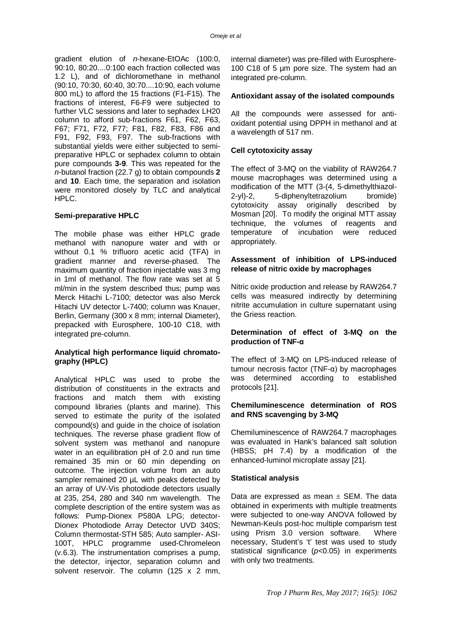gradient elution of *n*-hexane-EtOAc (100:0, 90:10, 80:20....0:100 each fraction collected was 1.2 L), and of dichloromethane in methanol (90:10, 70:30, 60:40, 30:70....10:90, each volume 800 mL) to afford the 15 fractions (F1-F15). The fractions of interest, F6-F9 were subjected to further VLC sessions and later to sephadex LH20 column to afford sub-fractions F61, F62, F63, F67; F71, F72, F77; F81, F82, F83, F86 and F91, F92, F93, F97. The sub-fractions with substantial yields were either subjected to semipreparative HPLC or sephadex column to obtain pure compounds **3-9**. This was repeated for the *n*-butanol fraction (22.7 g) to obtain compounds **2** and **10**. Each time, the separation and isolation were monitored closely by TLC and analytical HPLC.

#### **Semi-preparative HPLC**

The mobile phase was either HPLC grade methanol with nanopure water and with or without 0.1 % trifluoro acetic acid (TFA) in gradient manner and reverse-phased. The maximum quantity of fraction injectable was 3 mg in 1ml of methanol. The flow rate was set at 5 ml/min in the system described thus; pump was Merck Hitachi L-7100; detector was also Merck Hitachi UV detector L-7400; column was Knauer, Berlin, Germany (300 x 8 mm; internal Diameter), prepacked with Eurosphere, 100-10 C18, with integrated pre-column.

# **Analytical high performance liquid chromatography (HPLC)**

Analytical HPLC was used to probe the distribution of constituents in the extracts and fractions and match them with existing compound libraries (plants and marine). This served to estimate the purity of the isolated compound(s) and guide in the choice of isolation techniques. The reverse phase gradient flow of solvent system was methanol and nanopure water in an equilibration pH of 2.0 and run time remained 35 min or 60 min depending on outcome. The injection volume from an auto sampler remained 20 µL with peaks detected by an array of UV-Vis photodiode detectors usually at 235, 254, 280 and 340 nm wavelength. The complete description of the entire system was as follows: Pump-Dionex P580A LPG; detector-Dionex Photodiode Array Detector UVD 340S; Column thermostat-STH 585; Auto sampler- ASI-100T, HPLC programme used-Chromeleon (v.6.3). The instrumentation comprises a pump, the detector, injector, separation column and solvent reservoir. The column (125 x 2 mm,

internal diameter) was pre-filled with Eurosphere-100 C18 of 5 µm pore size. The system had an integrated pre-column.

# **Antioxidant assay of the isolated compounds**

All the compounds were assessed for antioxidant potential using DPPH in methanol and at a wavelength of 517 nm.

# **Cell cytotoxicity assay**

The effect of 3-MQ on the viability of RAW264.7 mouse macrophages was determined using a modification of the MTT (3-(4, 5-dimethylthiazol-2-yl)-2, 5-diphenyltetrazolium bromide) cytotoxicity assay originally described by Mosman [20]. To modify the original MTT assay technique, the volumes of reagents and temperature of incubation were reduced appropriately.

# **Assessment of inhibition of LPS-induced release of nitric oxide by macrophages**

Nitric oxide production and release by RAW264.7 cells was measured indirectly by determining nitrite accumulation in culture supernatant using the Griess reaction.

# **Determination of effect of 3-MQ on the production of TNF-α**

The effect of 3-MQ on LPS-induced release of tumour necrosis factor (TNF-α) by macrophages was determined according to established protocols [21].

# **Chemiluminescence determination of ROS and RNS scavenging by 3-MQ**

Chemiluminescence of RAW264.7 macrophages was evaluated in Hank's balanced salt solution (HBSS; pH 7.4) by a modification of the enhanced-luminol microplate assay [21].

#### **Statistical analysis**

Data are expressed as mean  $\pm$  SEM. The data obtained in experiments with multiple treatments were subjected to one-way ANOVA followed by Newman-Keuls post-hoc multiple comparism test using Prism 3.0 version software. Where necessary, Student's 't' test was used to study statistical significance (*p<*0.05) in experiments with only two treatments.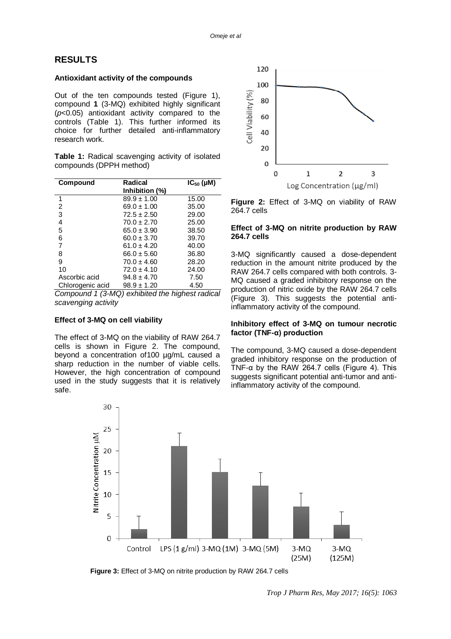# **RESULTS**

#### **Antioxidant activity of the compounds**

Out of the ten compounds tested (Figure 1), compound **1** (3-MQ) exhibited highly significant (*p*<0.05) antioxidant activity compared to the controls (Table 1). This further informed its choice for further detailed anti-inflammatory research work.

**Table 1:** Radical scavenging activity of isolated compounds (DPPH method)

| Compound         | Radical         | $IC_{50}$ (µM) |
|------------------|-----------------|----------------|
|                  | Inhibition (%)  |                |
| 1                | $89.9 \pm 1.00$ | 15.00          |
| 2                | $69.0 \pm 1.00$ | 35.00          |
| 3                | $72.5 \pm 2.50$ | 29.00          |
| 4                | $70.0 \pm 2.70$ | 25.00          |
| 5                | $65.0 \pm 3.90$ | 38.50          |
| 6                | $60.0 \pm 3.70$ | 39.70          |
| 7                | $61.0 \pm 4.20$ | 40.00          |
| 8                | $66.0 \pm 5.60$ | 36.80          |
| 9                | $70.0 \pm 4.60$ | 28.20          |
| 10               | $72.0 \pm 4.10$ | 24.00          |
| Ascorbic acid    | $94.8 \pm 4.70$ | 7.50           |
| Chlorogenic acid | $98.9 \pm 1.20$ | 4.50           |

*Compound 1 (3-MQ) exhibited the highest radical scavenging activity*

### **Effect of 3-MQ on cell viability**

The effect of 3-MQ on the viability of RAW 264.7 cells is shown in Figure 2. The compound, beyond a concentration of100 µg/mL caused a sharp reduction in the number of viable cells. However, the high concentration of compound used in the study suggests that it is relatively safe.



**Figure 2:** Effect of 3-MQ on viability of RAW 264.7 cells

#### **Effect of 3-MQ on nitrite production by RAW 264.7 cells**

3-MQ significantly caused a dose-dependent reduction in the amount nitrite produced by the RAW 264.7 cells compared with both controls. 3- MQ caused a graded inhibitory response on the production of nitric oxide by the RAW 264.7 cells (Figure 3). This suggests the potential antiinflammatory activity of the compound.

#### **Inhibitory effect of 3-MQ on tumour necrotic factor (TNF-α) production**

The compound, 3-MQ caused a dose-dependent graded inhibitory response on the production of TNF- $\alpha$  by the RAW 264.7 cells (Figure 4). This suggests significant potential anti-tumor and antiinflammatory activity of the compound.



 **Figure 3:** Effect of 3-MQ on nitrite production by RAW 264.7 cells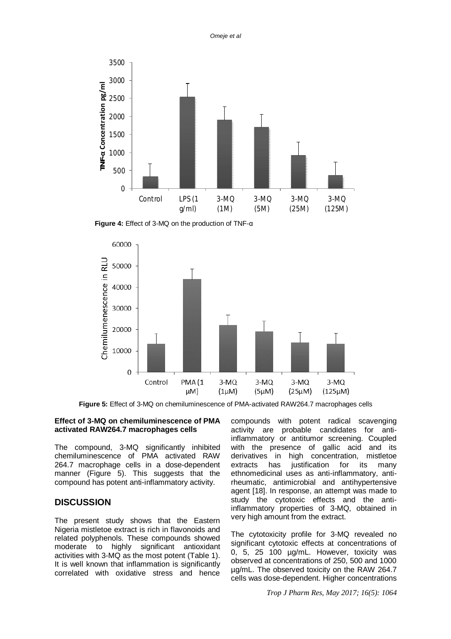*Omeje et al*



 **Figure 4:** Effect of 3-MQ on the production of TNF-α



**Figure 5:** Effect of 3-MQ on chemiluminescence of PMA-activated RAW264.7 macrophages cells

# **Effect of 3-MQ on chemiluminescence of PMA activated RAW264.7 macrophages cells**

The compound, 3-MQ significantly inhibited chemiluminescence of PMA activated RAW 264.7 macrophage cells in a dose-dependent manner (Figure 5). This suggests that the compound has potent anti-inflammatory activity.

# **DISCUSSION**

The present study shows that the Eastern Nigeria mistletoe extract is rich in flavonoids and related polyphenols. These compounds showed moderate to highly significant antioxidant activities with 3-MQ as the most potent (Table 1). It is well known that inflammation is significantly correlated with oxidative stress and hence

compounds with potent radical scavenging activity are probable candidates for antiinflammatory or antitumor screening. Coupled with the presence of gallic acid and its derivatives in high concentration, mistletoe extracts has justification for its many ethnomedicinal uses as anti-inflammatory, antirheumatic, antimicrobial and antihypertensive agent [18]. In response, an attempt was made to study the cytotoxic effects and the antiinflammatory properties of 3-MQ, obtained in very high amount from the extract.

The cytotoxicity profile for 3-MQ revealed no significant cytotoxic effects at concentrations of 0, 5, 25 100 µg/mL. However, toxicity was observed at concentrations of 250, 500 and 1000 µg/mL. The observed toxicity on the RAW 264.7 cells was dose-dependent. Higher concentrations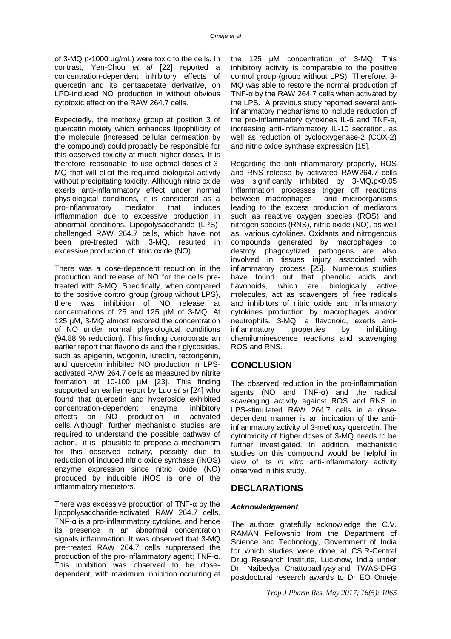of 3-MQ (>1000 µg/mL) were toxic to the cells. In contrast, Yen-Chou *et al* [22] reported a concentration-dependent inhibitory effects of quercetin and its pentaacetate derivative, on LPD-induced NO production in without obvious cytotoxic effect on the RAW 264.7 cells.

Expectedly, the methoxy group at position 3 of quercetin moiety which enhances lipophilicity of the molecule (increased cellular permeation by the compound) could probably be responsible for this observed toxicity at much higher doses. It is therefore, reasonable, to use optimal doses of 3- MQ that will elicit the required biological activity without precipitating toxicity. Although nitric oxide exerts anti-inflammatory effect under normal physiological conditions, it is considered as a pro-inflammatory mediator that induces inflammation due to excessive production in abnormal conditions. Lipopolysaccharide (LPS) challenged RAW 264.7 cells, which have not been pre-treated with 3-MQ, resulted in excessive production of nitric oxide (NO).

There was a dose-dependent reduction in the production and release of NO for the cells pretreated with 3-MQ. Specifically, when compared to the positive control group (group without LPS), there was inhibition of NO release at concentrations of 25 and 125 µM of 3-MQ. At 125 µM, 3-MQ almost restored the concentration of NO under normal physiological conditions (94.88 % reduction). This finding corroborate an earlier report that flavonoids and their glycosides, such as apigenin, wogonin, luteolin, tectorigenin, and quercetin inhibited NO production in LPSactivated RAW 264.7 cells as measured by nitrite formation at 10-100 µM [23]. This finding supported an earlier report by Luo *et al* [24] who found that quercetin and hyperoside exhibited concentration-dependent enzyme inhibitory effects on NO production in activated cells. Although further mechanistic studies are required to understand the possible pathway of action, it is plausible to propose a mechanism for this observed activity, possibly due to reduction of induced nitric oxide synthase (iNOS) enzyme expression since nitric oxide (NO) produced by inducible iNOS is one of the inflammatory mediators.

There was excessive production of TNF-α by the lipopolysaccharide-activated RAW 264.7 cells. TNF- $\alpha$  is a pro-inflammatory cytokine, and hence its presence in an abnormal concentration signals inflammation. It was observed that 3-MQ pre-treated RAW 264.7 cells suppressed the production of the pro-inflammatory agent; TNF-α. This inhibition was observed to be dosedependent, with maximum inhibition occurring at the 125 µM concentration of 3-MQ. This inhibitory activity is comparable to the positive control group (group without LPS). Therefore, 3- MQ was able to restore the normal production of TNF- $\alpha$  by the RAW 264.7 cells when activated by the LPS. A previous study reported several antiinflammatory mechanisms to include reduction of the pro-inflammatory cytokines IL-6 and TNF-a, increasing anti-inflammatory IL-10 secretion, as well as reduction of cyclooxygenase-2 (COX-2) and nitric oxide synthase expression [15].

Regarding the anti-inflammatory property, ROS and RNS release by activated RAW264.7 cells was significantly inhibited by 3-MQ**.**p<0.05 Inflammation processes trigger off reactions between macrophages and microorganisms leading to the excess production of mediators such as reactive oxygen species (ROS) and nitrogen species (RNS), nitric oxide (NO), as well as various cytokines. Oxidants and nitrogenous compounds generated by macrophages to destroy phagocytized pathogens are also involved in tissues injury associated with inflammatory process [25]. Numerous studies have found out that phenolic acids and flavonoids, which are biologically active molecules, act as scavengers of free radicals and inhibitors of nitric oxide and inflammatory cytokines production by macrophages and/or neutrophils. 3-MQ, a flavonoid, exerts antiinflammatory properties by inhibiting chemiluminescence reactions and scavenging ROS and RNS.

# **CONCLUSION**

The observed reduction in the pro-inflammation agents (NO and TNF-α) and the radical scavenging activity against ROS and RNS in LPS-stimulated RAW 264.7 cells in a dosedependent manner is an indication of the antiinflammatory activity of 3-methoxy quercetin. The cytotoxicity of higher doses of 3-MQ needs to be further investigated. In addition, mechanistic studies on this compound would be helpful in view of its *in vitro* anti-inflammatory activity observed in this study.

# **DECLARATIONS**

#### *Acknowledgement*

The authors gratefully acknowledge the C.V. RAMAN Fellowship from the Department of Science and Technology, Government of India for which studies were done at CSIR-Central Drug Research Institute, Lucknow, India under Dr. Naibedya Chattopadhyay and TWAS-DFG postdoctoral research awards to Dr EO Omeje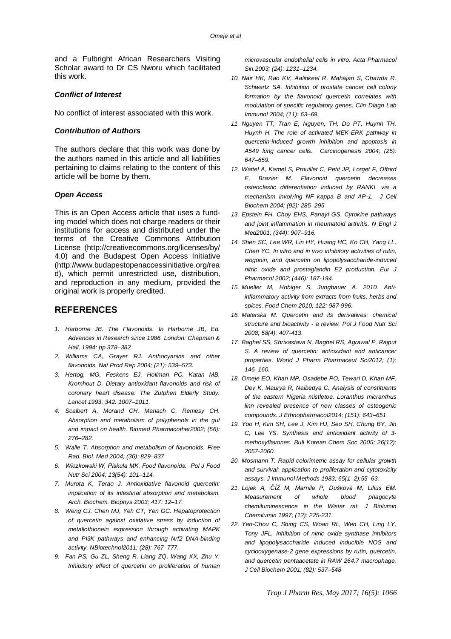and a Fulbright African Researchers Visiting Scholar award to Dr CS Nworu which facilitated this work.

#### *Conflict of Interest*

No conflict of interest associated with this work.

#### *Contribution of Authors*

The authors declare that this work was done by the authors named in this article and all liabilities pertaining to claims relating to the content of this article will be borne by them.

#### *Open Access*

This is an Open Access article that uses a funding model which does not charge readers or their institutions for access and distributed under the terms of the Creative Commons Attribution License (<http://creativecommons.org/licenses/by/> 4.0) and the Budapest Open Access Initiative [\(http://www.budapestopenaccessinitiative.org/rea](http://www.budapestopenaccessinitiative.org/rea) d), which permit unrestricted use, distribution, and reproduction in any medium, provided the original work is properly credited.

# **REFERENCES**

- *1. Harborne JB. The Flavonoids. In Harborne JB, Ed. Advances in Research since 1986. London: Chapman & Hall, 1994; pp 378–382*
- *2. Williams CA, Grayer RJ. Anthocyanins and other flavonoids. Nat Prod Rep 2004; (21): 539–573.*
- *3. Hertog, MG, Feskens EJ, Hollman PC, Katan MB, Kromhout D. Dietary antioxidant flavonoids and risk of coronary heart disease: The Zutphen Elderly Study. Lancet 1993; 342: 1007–1011.*
- *4. Scalbert A, Morand CH, Manach C, Remesy CH. Absorption and metabolism of polyphenols in the gut and impact on health. Biomed Pharmacother2002; (56): 276–282.*
- *5. Walle T. Absorption and metabolism of flavonoids. Free Rad. Biol. Med 2004; (36): 829–837*
- *6. Wiczkowski W, Piskuła MK. Food flavonoids. Pol J Food Nutr Sci 2004; 13(54): 101–114.*
- *7. Murota K, Terao J. Antioxidative flavonoid quercetin: implication of its intestinal absorption and metabolism. Arch. Biochem. Biophys 2003; 417: 12–17.*
- *8. Weng CJ, Chen MJ, Yeh CT, Yen GC. Hepatoprotection of quercetin against oxidative stress by induction of metallothionein expression through activating MAPK and PI3K pathways and enhancing Nrf2 DNA-binding activity. NBiotechnol2011; (28): 767–777.*
- *9. Fan PS, Gu ZL, Sheng R, Liang ZQ, Wang XX, Zhu Y. Inhibitory effect of quercetin on proliferation of human*

*microvascular endothelial cells in vitro. Acta Pharmacol Sin.2003; (24): 1231–1234.*

- *10. Nair HK, Rao KV, Aalinkeel R, Mahajan S, Chawda R. Schwartz SA. Inhibition of prostate cancer cell colony formation by the flavonoid quercetin correlates with modulation of specific regulatory genes. Clin Diagn Lab Immunol 2004; (11): 63–69.*
- *11. Nguyen TT, Tran E, Nguyen, TH, Do PT, Huynh TH, Huynh H. The role of activated MEK-ERK pathway in quercetin-induced growth inhibition and apoptosis in A549 lung cancer cells. Carcinogenesis 2004; (25): 647–659.*
- *12. Wattel A, Kamel S, Prouillet C, Petit JP, Lorget F, Offord E, Brazier M. Flavonoid quercetin decreases osteoclastic differentiation induced by RANKL via a mechanism involving NF kappa B and AP-1. J Cell Biochem 2004; (92): 285–295*
- *13. Epstein FH, Choy EHS, Panayi GS. Cytokine pathways and joint inflammation in rheumatoid arthritis. N Engl J Med2001; (344): 907–916.*
- *14. Shen SC, Lee WR, Lin HY, Huang HC, Ko CH, Yang LL, Chen YC. In vitro and in vivo inhibitory activities of rutin, wogonin, and quercetin on lipopolysaccharide-induced nitric oxide and prostaglandin E2 production. Eur J Pharmacol 2002; (446): 187-194.*
- *15. Mueller M, Hobiger S, Jungbauer A. 2010. Antiinflammatory activity from extracts from fruits, herbs and spices. Food Chem 2010; 122: 987-996.*
- *16. Materska M. Quercetin and its derivatives: chemical structure and bioactivity - a review. Pol J Food Nutr Sci 2008; 58(4): 407-413.*
- *17. Baghel SS, Shrivastava N, Baghel RS, Agrawal P, Rajput S. A review of quercetin: antioxidant and anticancer properties. World J Pharm Pharmaceut Sci2012; (1): 146–160.*
- *18. Omeje EO, Khan MP, Osadebe PO, Tewari D, Khan MF, Dev K, Maurya R, Naibedya C. Analysis of constituents of the eastern Nigeria mistletoe, Loranthus micranthus linn revealed presence of new classes of osteogenic compounds. J Ethnopharmacol2014; (151): 643–651*
- *19. Yoo H, Kim SH, Lee J, Kim HJ, Seo SH, Chung BY, Jin C, Lee YS. Synthesis and antioxidant activity of 3 methoxyflavones. Bull Korean Chem Soc 2005; 26(12): 2057-2060.*
- *20. Mosmann T. Rapid colorimetric assay for cellular growth and survival: application to proliferation and cytotoxicity assays. J Immunol Methods 1983; 65(1–2):55–63.*
- *21. Lojek A, ČÍŽ M, Marnila P, Dušková M, Lilius EM. Measurement of whole blood phagocyte chemiluminescence in the Wistar rat. J Biolumin Chemilumin 1997; (12): 225-231.*
- *22. Yen-Chou C, Shing CS, Woan RL, Wen CH, Ling LY, Tony JFL. Inhibition of nitric oxide synthase inhibitors and lipopolysaccharide induced inducible NOS and cyclooxygenase-2 gene expressions by rutin, quercetin, and quercetin pentaacetate in RAW 264.7 macrophage. J Cell Biochem 2001; (82): 537–548*